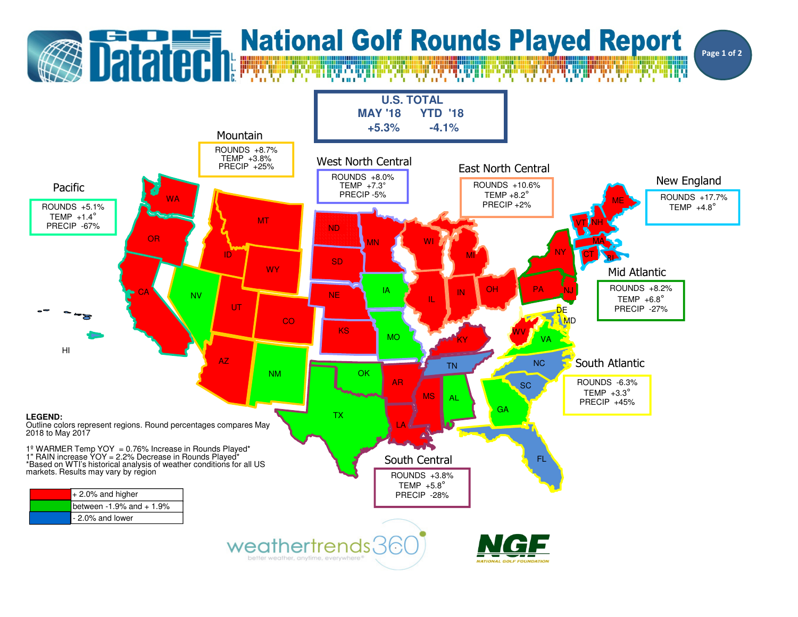